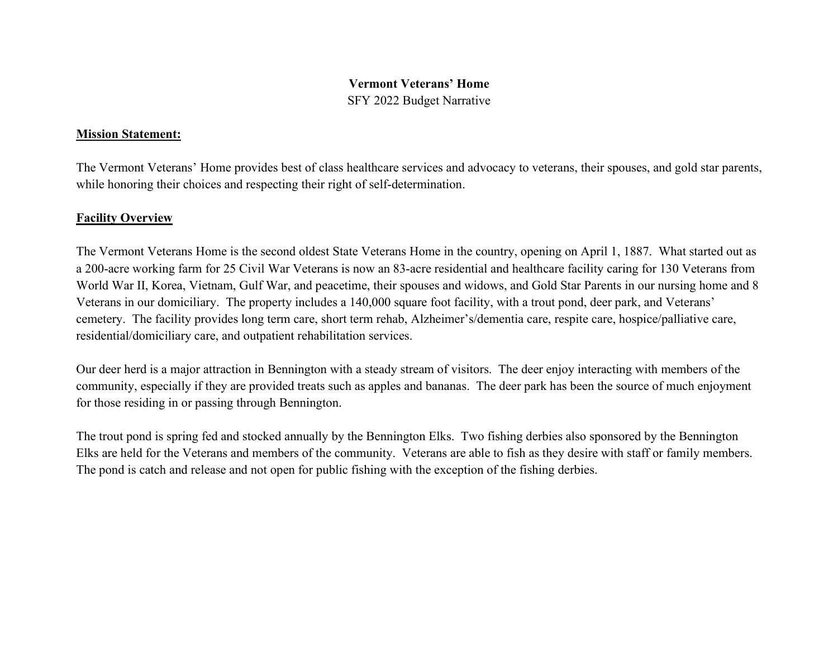# Vermont Veterans' Home SFY 2022 Budget Narrative

### Mission Statement:

The Vermont Veterans' Home provides best of class healthcare services and advocacy to veterans, their spouses, and gold star parents, while honoring their choices and respecting their right of self-determination.

## **Facility Overview**

The Vermont Veterans Home is the second oldest State Veterans Home in the country, opening on April 1, 1887. What started out as a 200-acre working farm for 25 Civil War Veterans is now an 83-acre residential and healthcare facility caring for 130 Veterans from World War II, Korea, Vietnam, Gulf War, and peacetime, their spouses and widows, and Gold Star Parents in our nursing home and 8 Veterans in our domiciliary. The property includes a 140,000 square foot facility, with a trout pond, deer park, and Veterans' cemetery. The facility provides long term care, short term rehab, Alzheimer's/dementia care, respite care, hospice/palliative care, residential/domiciliary care, and outpatient rehabilitation services.

Our deer herd is a major attraction in Bennington with a steady stream of visitors. The deer enjoy interacting with members of the community, especially if they are provided treats such as apples and bananas. The deer park has been the source of much enjoyment for those residing in or passing through Bennington.

The trout pond is spring fed and stocked annually by the Bennington Elks. Two fishing derbies also sponsored by the Bennington Elks are held for the Veterans and members of the community. Veterans are able to fish as they desire with staff or family members. The pond is catch and release and not open for public fishing with the exception of the fishing derbies.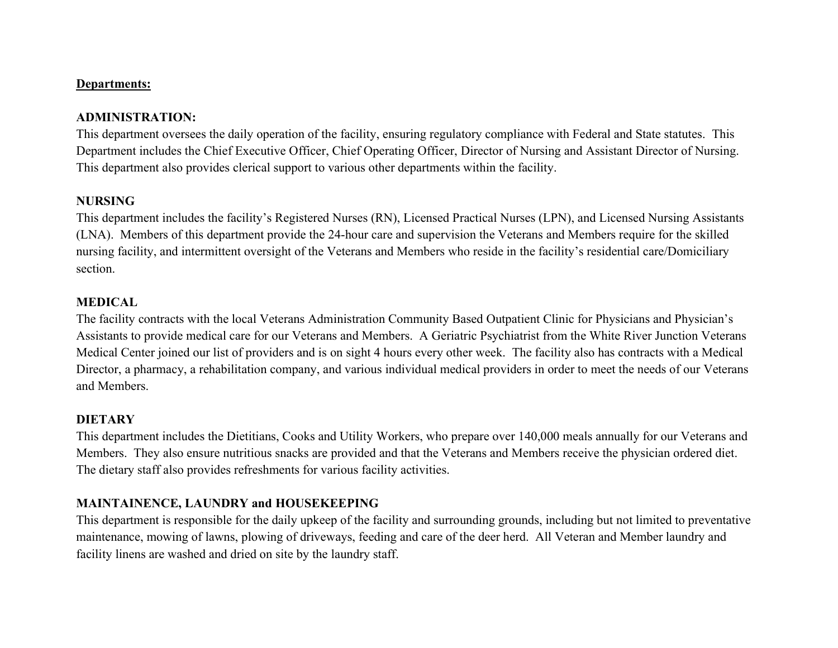### Departments:

### ADMINISTRATION:

This department oversees the daily operation of the facility, ensuring regulatory compliance with Federal and State statutes. This Department includes the Chief Executive Officer, Chief Operating Officer, Director of Nursing and Assistant Director of Nursing. This department also provides clerical support to various other departments within the facility.

### NURSING

This department includes the facility's Registered Nurses (RN), Licensed Practical Nurses (LPN), and Licensed Nursing Assistants (LNA). Members of this department provide the 24-hour care and supervision the Veterans and Members require for the skilled nursing facility, and intermittent oversight of the Veterans and Members who reside in the facility's residential care/Domiciliary section.

### MEDICAL

The facility contracts with the local Veterans Administration Community Based Outpatient Clinic for Physicians and Physician's Assistants to provide medical care for our Veterans and Members. A Geriatric Psychiatrist from the White River Junction Veterans Medical Center joined our list of providers and is on sight 4 hours every other week. The facility also has contracts with a Medical Director, a pharmacy, a rehabilitation company, and various individual medical providers in order to meet the needs of our Veterans and Members.

### **DIETARY**

This department includes the Dietitians, Cooks and Utility Workers, who prepare over 140,000 meals annually for our Veterans and Members. They also ensure nutritious snacks are provided and that the Veterans and Members receive the physician ordered diet. The dietary staff also provides refreshments for various facility activities.

## MAINTAINENCE, LAUNDRY and HOUSEKEEPING

This department is responsible for the daily upkeep of the facility and surrounding grounds, including but not limited to preventative maintenance, mowing of lawns, plowing of driveways, feeding and care of the deer herd. All Veteran and Member laundry and facility linens are washed and dried on site by the laundry staff.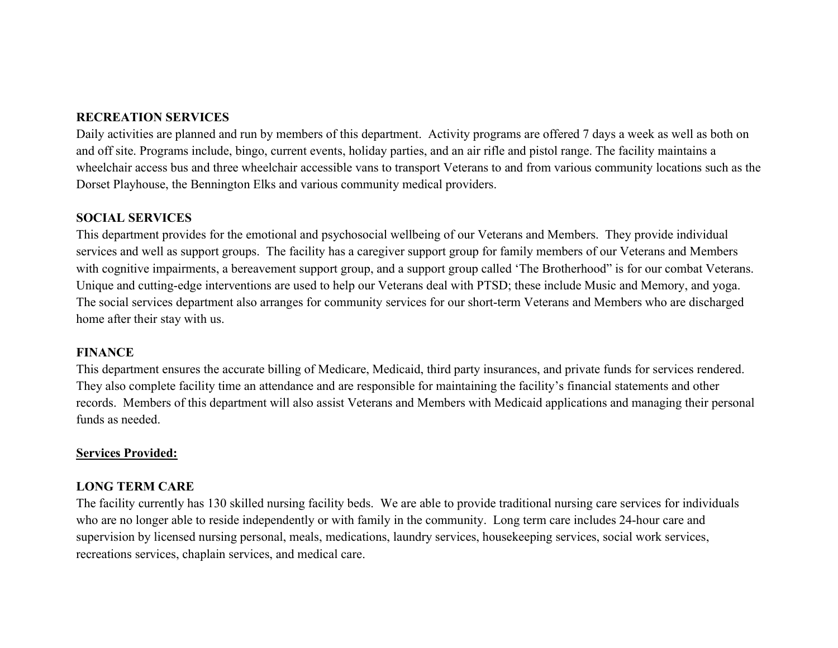## RECREATION SERVICES

Daily activities are planned and run by members of this department. Activity programs are offered 7 days a week as well as both on and off site. Programs include, bingo, current events, holiday parties, and an air rifle and pistol range. The facility maintains a wheelchair access bus and three wheelchair accessible vans to transport Veterans to and from various community locations such as the Dorset Playhouse, the Bennington Elks and various community medical providers.

### SOCIAL SERVICES

This department provides for the emotional and psychosocial wellbeing of our Veterans and Members. They provide individual services and well as support groups. The facility has a caregiver support group for family members of our Veterans and Members with cognitive impairments, a bereavement support group, and a support group called 'The Brotherhood" is for our combat Veterans. Unique and cutting-edge interventions are used to help our Veterans deal with PTSD; these include Music and Memory, and yoga. The social services department also arranges for community services for our short-term Veterans and Members who are discharged home after their stay with us.

### **FINANCE**

This department ensures the accurate billing of Medicare, Medicaid, third party insurances, and private funds for services rendered. They also complete facility time an attendance and are responsible for maintaining the facility's financial statements and other records. Members of this department will also assist Veterans and Members with Medicaid applications and managing their personal funds as needed.

### Services Provided:

## LONG TERM CARE

The facility currently has 130 skilled nursing facility beds. We are able to provide traditional nursing care services for individuals who are no longer able to reside independently or with family in the community. Long term care includes 24-hour care and supervision by licensed nursing personal, meals, medications, laundry services, housekeeping services, social work services, recreations services, chaplain services, and medical care.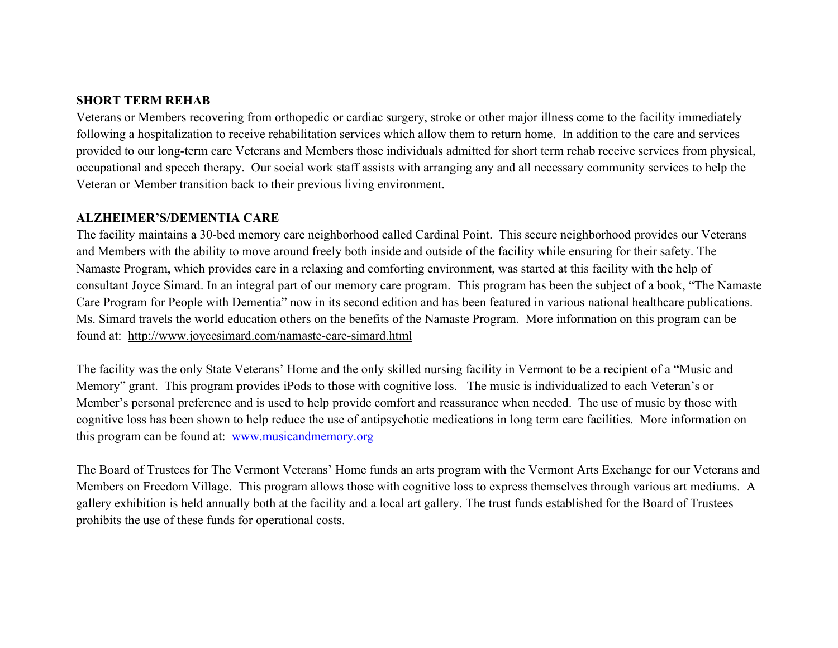### SHORT TERM REHAB

Veterans or Members recovering from orthopedic or cardiac surgery, stroke or other major illness come to the facility immediately following a hospitalization to receive rehabilitation services which allow them to return home. In addition to the care and services provided to our long-term care Veterans and Members those individuals admitted for short term rehab receive services from physical, occupational and speech therapy. Our social work staff assists with arranging any and all necessary community services to help the Veteran or Member transition back to their previous living environment.

#### ALZHEIMER'S/DEMENTIA CARE

The facility maintains a 30-bed memory care neighborhood called Cardinal Point. This secure neighborhood provides our Veterans and Members with the ability to move around freely both inside and outside of the facility while ensuring for their safety. The Namaste Program, which provides care in a relaxing and comforting environment, was started at this facility with the help of consultant Joyce Simard. In an integral part of our memory care program. This program has been the subject of a book, "The Namaste Care Program for People with Dementia" now in its second edition and has been featured in various national healthcare publications. Ms. Simard travels the world education others on the benefits of the Namaste Program. More information on this program can be found at: http://www.joycesimard.com/namaste-care-simard.html

The facility was the only State Veterans' Home and the only skilled nursing facility in Vermont to be a recipient of a "Music and Memory" grant. This program provides iPods to those with cognitive loss. The music is individualized to each Veteran's or Member's personal preference and is used to help provide comfort and reassurance when needed. The use of music by those with cognitive loss has been shown to help reduce the use of antipsychotic medications in long term care facilities. More information on this program can be found at: www.musicandmemory.org

The Board of Trustees for The Vermont Veterans' Home funds an arts program with the Vermont Arts Exchange for our Veterans and Members on Freedom Village. This program allows those with cognitive loss to express themselves through various art mediums. A gallery exhibition is held annually both at the facility and a local art gallery. The trust funds established for the Board of Trustees prohibits the use of these funds for operational costs.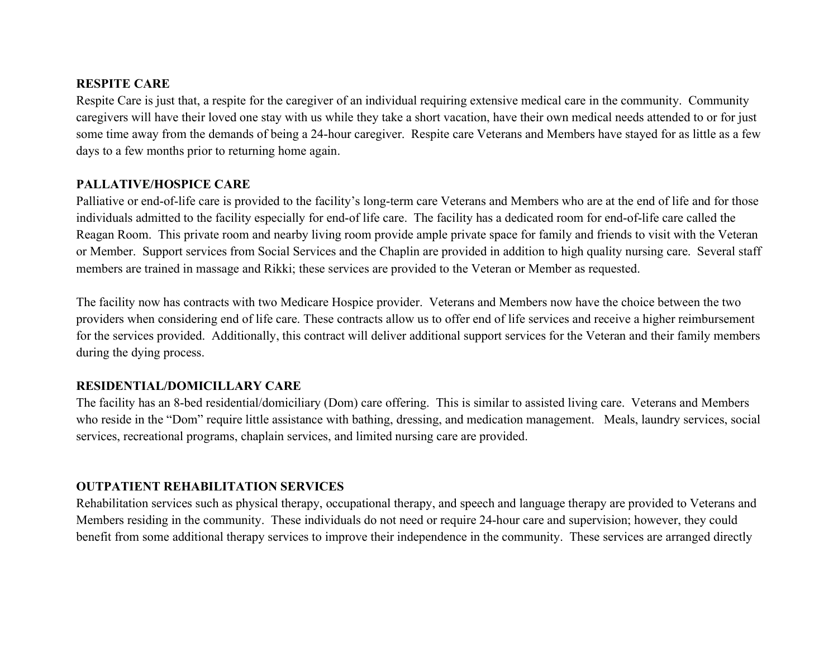### RESPITE CARE

Respite Care is just that, a respite for the caregiver of an individual requiring extensive medical care in the community. Community caregivers will have their loved one stay with us while they take a short vacation, have their own medical needs attended to or for just some time away from the demands of being a 24-hour caregiver. Respite care Veterans and Members have stayed for as little as a few days to a few months prior to returning home again.

# PALLATIVE/HOSPICE CARE

Palliative or end-of-life care is provided to the facility's long-term care Veterans and Members who are at the end of life and for those individuals admitted to the facility especially for end-of life care. The facility has a dedicated room for end-of-life care called the Reagan Room. This private room and nearby living room provide ample private space for family and friends to visit with the Veteran or Member. Support services from Social Services and the Chaplin are provided in addition to high quality nursing care. Several staff members are trained in massage and Rikki; these services are provided to the Veteran or Member as requested.

The facility now has contracts with two Medicare Hospice provider. Veterans and Members now have the choice between the two providers when considering end of life care. These contracts allow us to offer end of life services and receive a higher reimbursement for the services provided. Additionally, this contract will deliver additional support services for the Veteran and their family members during the dying process.

## RESIDENTIAL/DOMICILLARY CARE

The facility has an 8-bed residential/domiciliary (Dom) care offering. This is similar to assisted living care. Veterans and Members who reside in the "Dom" require little assistance with bathing, dressing, and medication management. Meals, laundry services, social services, recreational programs, chaplain services, and limited nursing care are provided.

## OUTPATIENT REHABILITATION SERVICES

Rehabilitation services such as physical therapy, occupational therapy, and speech and language therapy are provided to Veterans and Members residing in the community. These individuals do not need or require 24-hour care and supervision; however, they could benefit from some additional therapy services to improve their independence in the community. These services are arranged directly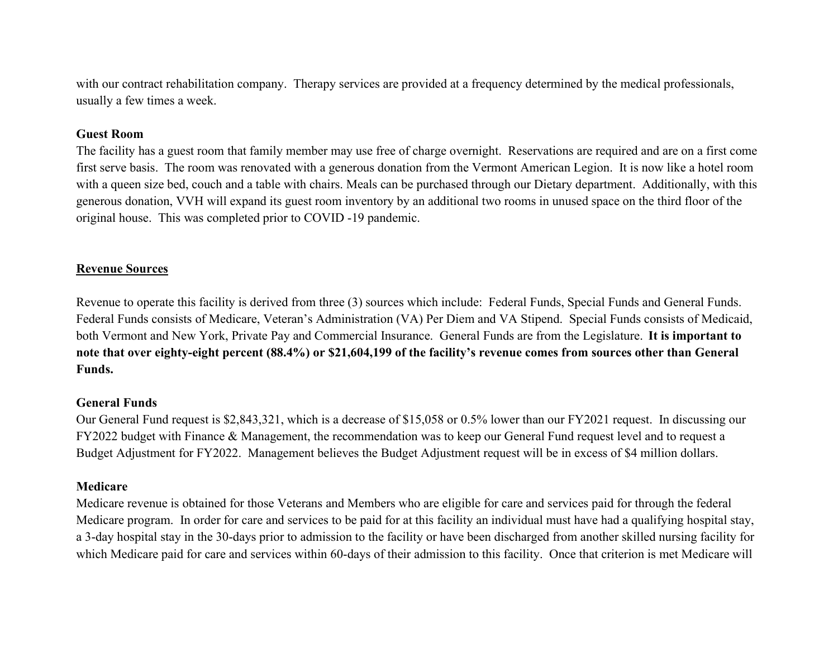with our contract rehabilitation company. Therapy services are provided at a frequency determined by the medical professionals, usually a few times a week.

### Guest Room

The facility has a guest room that family member may use free of charge overnight. Reservations are required and are on a first come first serve basis. The room was renovated with a generous donation from the Vermont American Legion. It is now like a hotel room with a queen size bed, couch and a table with chairs. Meals can be purchased through our Dietary department. Additionally, with this generous donation, VVH will expand its guest room inventory by an additional two rooms in unused space on the third floor of the original house. This was completed prior to COVID -19 pandemic.

### Revenue Sources

Revenue to operate this facility is derived from three (3) sources which include: Federal Funds, Special Funds and General Funds. Federal Funds consists of Medicare, Veteran's Administration (VA) Per Diem and VA Stipend. Special Funds consists of Medicaid, both Vermont and New York, Private Pay and Commercial Insurance. General Funds are from the Legislature. It is important to note that over eighty-eight percent (88.4%) or \$21,604,199 of the facility's revenue comes from sources other than General Funds.

### General Funds

Our General Fund request is \$2,843,321, which is a decrease of \$15,058 or 0.5% lower than our FY2021 request. In discussing our FY2022 budget with Finance & Management, the recommendation was to keep our General Fund request level and to request a Budget Adjustment for FY2022. Management believes the Budget Adjustment request will be in excess of \$4 million dollars.

### Medicare

Medicare revenue is obtained for those Veterans and Members who are eligible for care and services paid for through the federal Medicare program. In order for care and services to be paid for at this facility an individual must have had a qualifying hospital stay, a 3-day hospital stay in the 30-days prior to admission to the facility or have been discharged from another skilled nursing facility for which Medicare paid for care and services within 60-days of their admission to this facility. Once that criterion is met Medicare will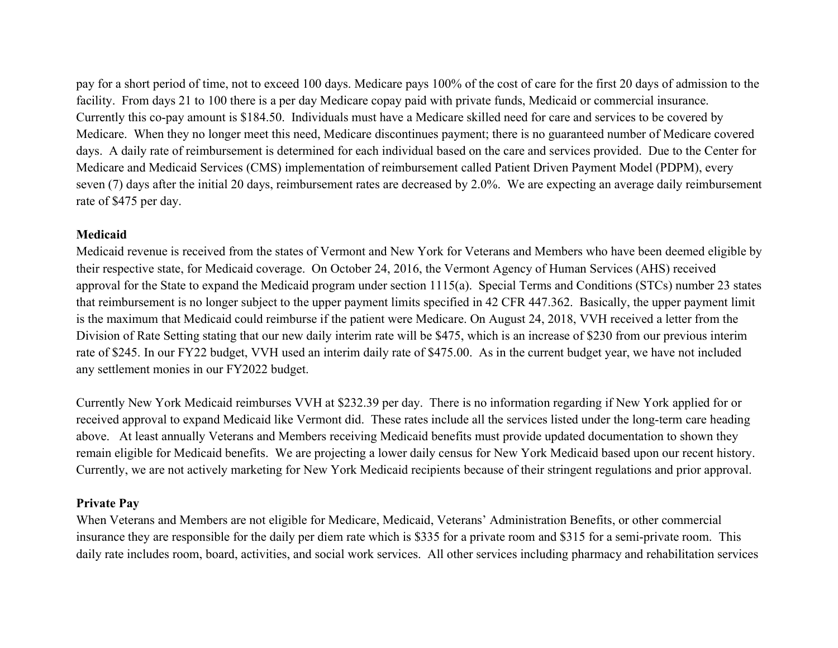pay for a short period of time, not to exceed 100 days. Medicare pays 100% of the cost of care for the first 20 days of admission to the facility. From days 21 to 100 there is a per day Medicare copay paid with private funds, Medicaid or commercial insurance. Currently this co-pay amount is \$184.50. Individuals must have a Medicare skilled need for care and services to be covered by Medicare. When they no longer meet this need, Medicare discontinues payment; there is no guaranteed number of Medicare covered days. A daily rate of reimbursement is determined for each individual based on the care and services provided. Due to the Center for Medicare and Medicaid Services (CMS) implementation of reimbursement called Patient Driven Payment Model (PDPM), every seven (7) days after the initial 20 days, reimbursement rates are decreased by 2.0%. We are expecting an average daily reimbursement rate of \$475 per day.

### **Medicaid**

Medicaid revenue is received from the states of Vermont and New York for Veterans and Members who have been deemed eligible by their respective state, for Medicaid coverage. On October 24, 2016, the Vermont Agency of Human Services (AHS) received approval for the State to expand the Medicaid program under section 1115(a). Special Terms and Conditions (STCs) number 23 states that reimbursement is no longer subject to the upper payment limits specified in 42 CFR 447.362. Basically, the upper payment limit is the maximum that Medicaid could reimburse if the patient were Medicare. On August 24, 2018, VVH received a letter from the Division of Rate Setting stating that our new daily interim rate will be \$475, which is an increase of \$230 from our previous interim rate of \$245. In our FY22 budget, VVH used an interim daily rate of \$475.00. As in the current budget year, we have not included any settlement monies in our FY2022 budget.

Currently New York Medicaid reimburses VVH at \$232.39 per day. There is no information regarding if New York applied for or received approval to expand Medicaid like Vermont did. These rates include all the services listed under the long-term care heading above. At least annually Veterans and Members receiving Medicaid benefits must provide updated documentation to shown they remain eligible for Medicaid benefits. We are projecting a lower daily census for New York Medicaid based upon our recent history. Currently, we are not actively marketing for New York Medicaid recipients because of their stringent regulations and prior approval.

## Private Pay

When Veterans and Members are not eligible for Medicare, Medicaid, Veterans' Administration Benefits, or other commercial insurance they are responsible for the daily per diem rate which is \$335 for a private room and \$315 for a semi-private room. This daily rate includes room, board, activities, and social work services. All other services including pharmacy and rehabilitation services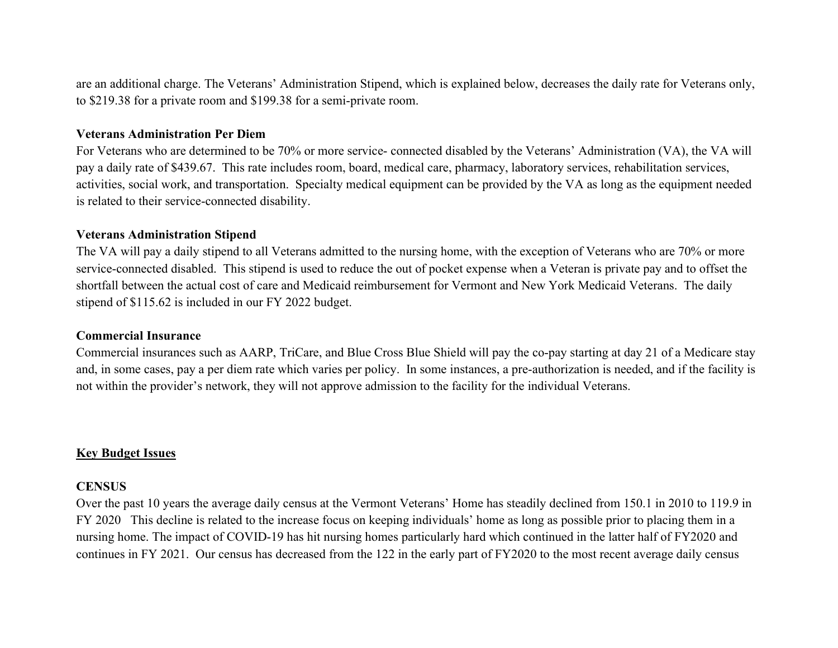are an additional charge. The Veterans' Administration Stipend, which is explained below, decreases the daily rate for Veterans only, to \$219.38 for a private room and \$199.38 for a semi-private room.

#### Veterans Administration Per Diem

For Veterans who are determined to be 70% or more service- connected disabled by the Veterans' Administration (VA), the VA will pay a daily rate of \$439.67. This rate includes room, board, medical care, pharmacy, laboratory services, rehabilitation services, activities, social work, and transportation. Specialty medical equipment can be provided by the VA as long as the equipment needed is related to their service-connected disability.

#### Veterans Administration Stipend

The VA will pay a daily stipend to all Veterans admitted to the nursing home, with the exception of Veterans who are 70% or more service-connected disabled. This stipend is used to reduce the out of pocket expense when a Veteran is private pay and to offset the shortfall between the actual cost of care and Medicaid reimbursement for Vermont and New York Medicaid Veterans. The daily stipend of \$115.62 is included in our FY 2022 budget.

### Commercial Insurance

Commercial insurances such as AARP, TriCare, and Blue Cross Blue Shield will pay the co-pay starting at day 21 of a Medicare stay and, in some cases, pay a per diem rate which varies per policy. In some instances, a pre-authorization is needed, and if the facility is not within the provider's network, they will not approve admission to the facility for the individual Veterans.

### Key Budget Issues

### **CENSUS**

Over the past 10 years the average daily census at the Vermont Veterans' Home has steadily declined from 150.1 in 2010 to 119.9 in FY 2020 This decline is related to the increase focus on keeping individuals' home as long as possible prior to placing them in a nursing home. The impact of COVID-19 has hit nursing homes particularly hard which continued in the latter half of FY2020 and continues in FY 2021. Our census has decreased from the 122 in the early part of FY2020 to the most recent average daily census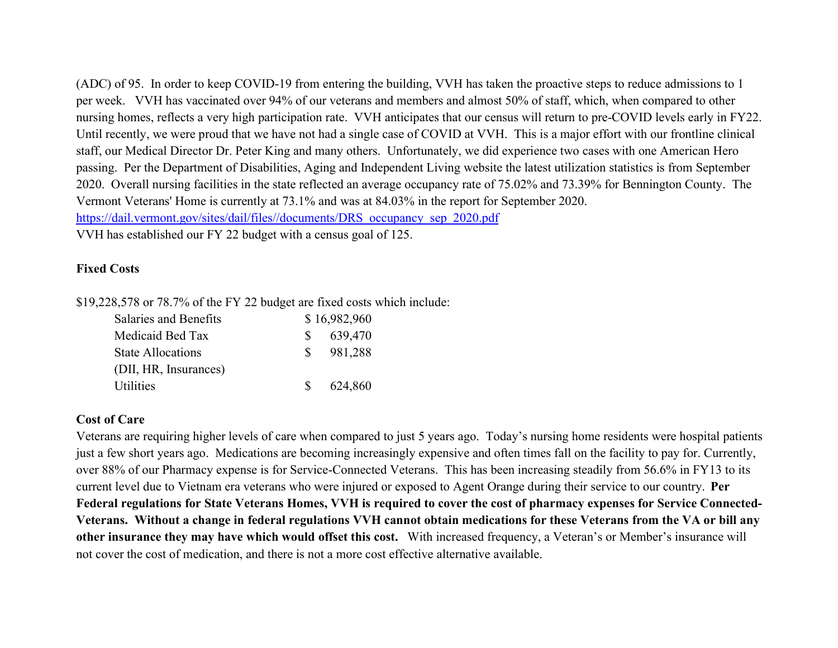(ADC) of 95. In order to keep COVID-19 from entering the building, VVH has taken the proactive steps to reduce admissions to 1 per week. VVH has vaccinated over 94% of our veterans and members and almost 50% of staff, which, when compared to other nursing homes, reflects a very high participation rate. VVH anticipates that our census will return to pre-COVID levels early in FY22. Until recently, we were proud that we have not had a single case of COVID at VVH. This is a major effort with our frontline clinical staff, our Medical Director Dr. Peter King and many others. Unfortunately, we did experience two cases with one American Hero passing. Per the Department of Disabilities, Aging and Independent Living website the latest utilization statistics is from September 2020. Overall nursing facilities in the state reflected an average occupancy rate of 75.02% and 73.39% for Bennington County. The Vermont Veterans' Home is currently at 73.1% and was at 84.03% in the report for September 2020. https://dail.vermont.gov/sites/dail/files//documents/DRS\_occupancy\_sep\_2020.pdf VVH has established our FY 22 budget with a census goal of 125.

## Fixed Costs

\$19,228,578 or 78.7% of the FY 22 budget are fixed costs which include:

| Salaries and Benefits    |              | \$16,982,960 |
|--------------------------|--------------|--------------|
| Medicaid Bed Tax         | SS.          | 639,470      |
| <b>State Allocations</b> | $S_{\alpha}$ | 981,288      |
| (DII, HR, Insurances)    |              |              |
| <b>Utilities</b>         | S –          | 624,860      |

## Cost of Care

Veterans are requiring higher levels of care when compared to just 5 years ago. Today's nursing home residents were hospital patients just a few short years ago. Medications are becoming increasingly expensive and often times fall on the facility to pay for. Currently, over 88% of our Pharmacy expense is for Service-Connected Veterans. This has been increasing steadily from 56.6% in FY13 to its current level due to Vietnam era veterans who were injured or exposed to Agent Orange during their service to our country. Per Federal regulations for State Veterans Homes, VVH is required to cover the cost of pharmacy expenses for Service Connected-Veterans. Without a change in federal regulations VVH cannot obtain medications for these Veterans from the VA or bill any other insurance they may have which would offset this cost. With increased frequency, a Veteran's or Member's insurance will not cover the cost of medication, and there is not a more cost effective alternative available.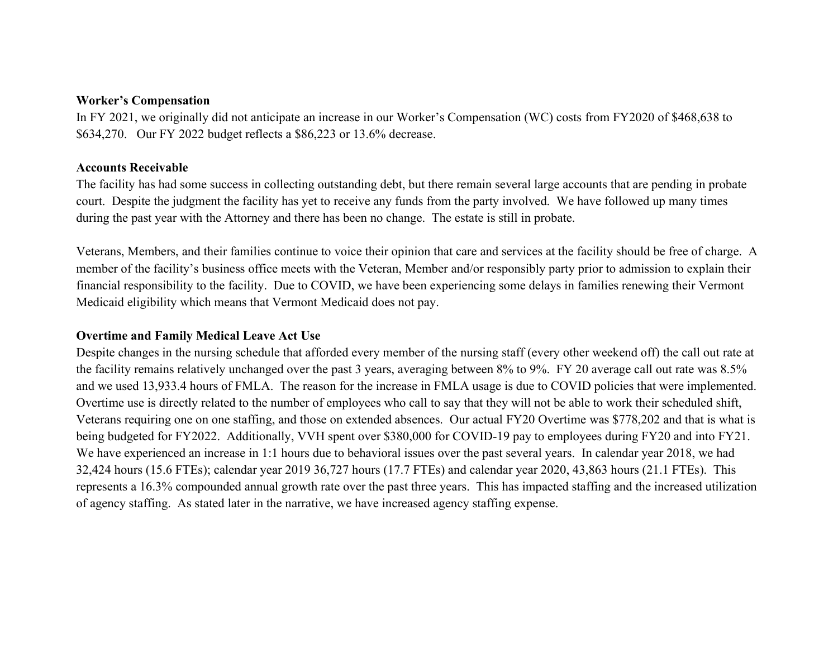#### Worker's Compensation

In FY 2021, we originally did not anticipate an increase in our Worker's Compensation (WC) costs from FY2020 of \$468,638 to \$634,270. Our FY 2022 budget reflects a \$86,223 or 13.6% decrease.

### Accounts Receivable

The facility has had some success in collecting outstanding debt, but there remain several large accounts that are pending in probate court. Despite the judgment the facility has yet to receive any funds from the party involved. We have followed up many times during the past year with the Attorney and there has been no change. The estate is still in probate.

Veterans, Members, and their families continue to voice their opinion that care and services at the facility should be free of charge. A member of the facility's business office meets with the Veteran, Member and/or responsibly party prior to admission to explain their financial responsibility to the facility. Due to COVID, we have been experiencing some delays in families renewing their Vermont Medicaid eligibility which means that Vermont Medicaid does not pay.

## Overtime and Family Medical Leave Act Use

Despite changes in the nursing schedule that afforded every member of the nursing staff (every other weekend off) the call out rate at the facility remains relatively unchanged over the past 3 years, averaging between 8% to 9%. FY 20 average call out rate was 8.5% and we used 13,933.4 hours of FMLA. The reason for the increase in FMLA usage is due to COVID policies that were implemented. Overtime use is directly related to the number of employees who call to say that they will not be able to work their scheduled shift, Veterans requiring one on one staffing, and those on extended absences. Our actual FY20 Overtime was \$778,202 and that is what is being budgeted for FY2022. Additionally, VVH spent over \$380,000 for COVID-19 pay to employees during FY20 and into FY21. We have experienced an increase in 1:1 hours due to behavioral issues over the past several years. In calendar year 2018, we had 32,424 hours (15.6 FTEs); calendar year 2019 36,727 hours (17.7 FTEs) and calendar year 2020, 43,863 hours (21.1 FTEs). This represents a 16.3% compounded annual growth rate over the past three years. This has impacted staffing and the increased utilization of agency staffing. As stated later in the narrative, we have increased agency staffing expense.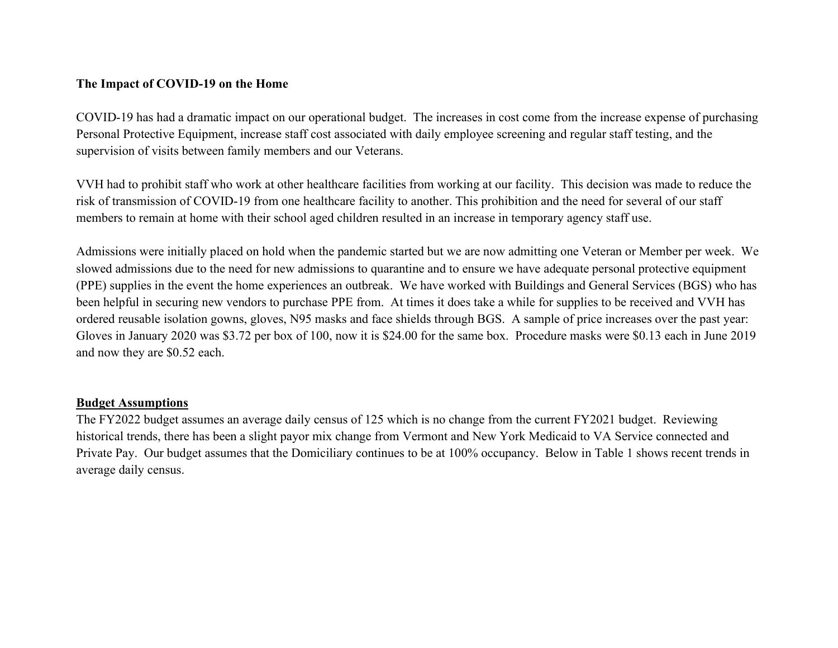## The Impact of COVID-19 on the Home

COVID-19 has had a dramatic impact on our operational budget. The increases in cost come from the increase expense of purchasing Personal Protective Equipment, increase staff cost associated with daily employee screening and regular staff testing, and the supervision of visits between family members and our Veterans.

VVH had to prohibit staff who work at other healthcare facilities from working at our facility. This decision was made to reduce the risk of transmission of COVID-19 from one healthcare facility to another. This prohibition and the need for several of our staff members to remain at home with their school aged children resulted in an increase in temporary agency staff use.

Admissions were initially placed on hold when the pandemic started but we are now admitting one Veteran or Member per week. We slowed admissions due to the need for new admissions to quarantine and to ensure we have adequate personal protective equipment (PPE) supplies in the event the home experiences an outbreak. We have worked with Buildings and General Services (BGS) who has been helpful in securing new vendors to purchase PPE from. At times it does take a while for supplies to be received and VVH has ordered reusable isolation gowns, gloves, N95 masks and face shields through BGS. A sample of price increases over the past year: Gloves in January 2020 was \$3.72 per box of 100, now it is \$24.00 for the same box. Procedure masks were \$0.13 each in June 2019 and now they are \$0.52 each.

### Budget Assumptions

The FY2022 budget assumes an average daily census of 125 which is no change from the current FY2021 budget. Reviewing historical trends, there has been a slight payor mix change from Vermont and New York Medicaid to VA Service connected and Private Pay. Our budget assumes that the Domiciliary continues to be at 100% occupancy. Below in Table 1 shows recent trends in average daily census.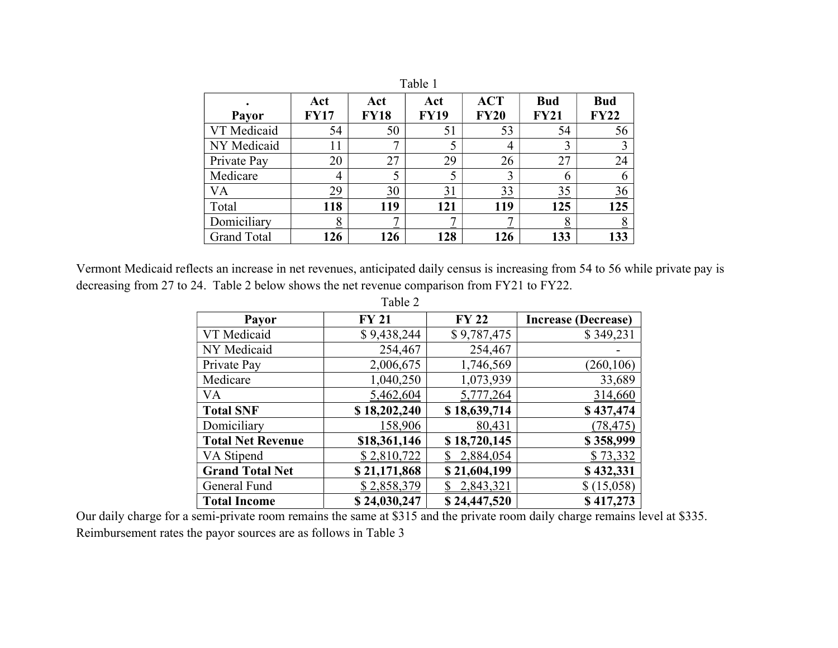| Table 1            |                    |                    |                    |                           |                           |                           |
|--------------------|--------------------|--------------------|--------------------|---------------------------|---------------------------|---------------------------|
| Payor              | Act<br><b>FY17</b> | Act<br><b>FY18</b> | Act<br><b>FY19</b> | <b>ACT</b><br><b>FY20</b> | <b>Bud</b><br><b>FY21</b> | <b>Bud</b><br><b>FY22</b> |
| VT Medicaid        | 54                 | 50                 | 51                 | 53                        | 54                        | 56                        |
| NY Medicaid        | 11                 | 7                  | 5                  | 4                         | 3                         | 3                         |
| Private Pay        | 20                 | 27                 | 29                 | 26                        | 27                        | 24                        |
| Medicare           | 4                  |                    |                    | 3                         | 6                         | 6                         |
| VA                 | 29                 | 30                 | 31                 | 33                        | 35                        | $\frac{36}{5}$            |
| Total              | 118                | 119                | 121                | 119                       | 125                       | 125                       |
| Domiciliary        | <u>8</u>           |                    |                    | −                         | <u>8</u>                  | $\frac{8}{5}$             |
| <b>Grand Total</b> | 126                | 126                | 128                | 126                       | 133                       | 133                       |

Vermont Medicaid reflects an increase in net revenues, anticipated daily census is increasing from 54 to 56 while private pay is decreasing from 27 to 24. Table 2 below shows the net revenue comparison from FY21 to FY22.

|                          | Table 2      |              |                            |
|--------------------------|--------------|--------------|----------------------------|
| <b>Payor</b>             | <b>FY 21</b> | <b>FY 22</b> | <b>Increase (Decrease)</b> |
| VT Medicaid              | \$9,438,244  | \$9,787,475  | \$349,231                  |
| NY Medicaid              | 254,467      | 254,467      |                            |
| Private Pay              | 2,006,675    | 1,746,569    | (260, 106)                 |
| Medicare                 | 1,040,250    | 1,073,939    | 33,689                     |
| <b>VA</b>                | 5,462,604    | 5,777,264    | 314,660                    |
| <b>Total SNF</b>         | \$18,202,240 | \$18,639,714 | \$437,474                  |
| Domiciliary              | 158,906      | 80,431       | (78, 475)                  |
| <b>Total Net Revenue</b> | \$18,361,146 | \$18,720,145 | \$358,999                  |
| VA Stipend               | \$2,810,722  | 2,884,054    | \$73,332                   |
| <b>Grand Total Net</b>   | \$21,171,868 | \$21,604,199 | \$432,331                  |
| General Fund             | \$2,858,379  | 2,843,321    | \$(15,058)                 |
| <b>Total Income</b>      | \$24,030,247 | \$24,447,520 | \$417,273                  |

Our daily charge for a semi-private room remains the same at \$315 and the private room daily charge remains level at \$335. Reimbursement rates the payor sources are as follows in Table 3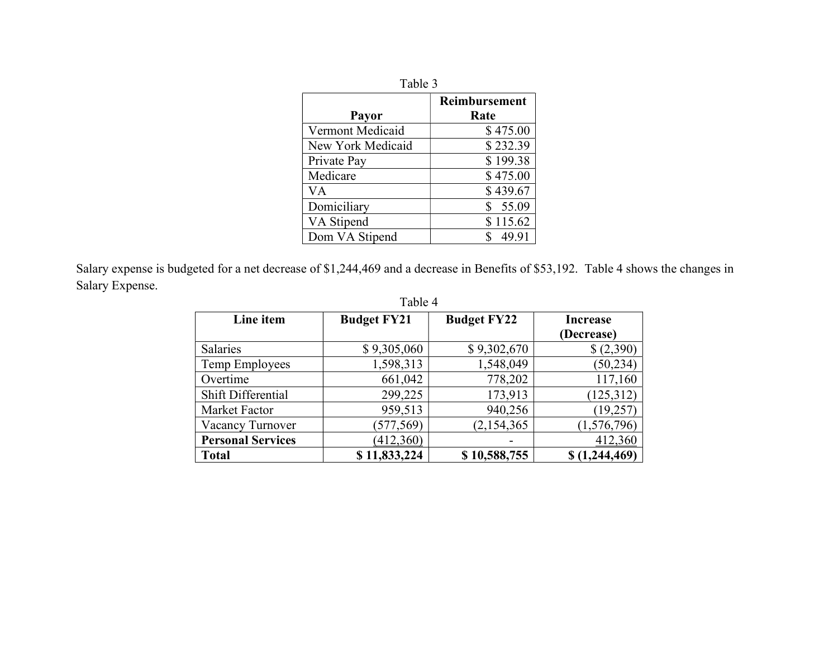| Table 3                 |               |  |
|-------------------------|---------------|--|
|                         | Reimbursement |  |
| Payor                   | Rate          |  |
| <b>Vermont Medicaid</b> | \$475.00      |  |
| New York Medicaid       | \$232.39      |  |
| Private Pay             | \$199.38      |  |
| Medicare                | \$475.00      |  |
| VA                      | \$439.67      |  |
| Domiciliary             | 55.09         |  |
| VA Stipend              | \$115.62      |  |
| Dom VA Stipend          | 49.91         |  |

Salary expense is budgeted for a net decrease of \$1,244,469 and a decrease in Benefits of \$53,192. Table 4 shows the changes in Salary Expense.

| Line item                | <b>Budget FY21</b> | <b>Budget FY22</b> | <b>Increase</b> |  |
|--------------------------|--------------------|--------------------|-----------------|--|
|                          |                    |                    | (Decrease)      |  |
| <b>Salaries</b>          | \$9,305,060        | \$9,302,670        | \$(2,390)       |  |
| Temp Employees           | 1,598,313          | 1,548,049          | (50, 234)       |  |
| Overtime                 | 661,042            | 778,202            | 117,160         |  |
| Shift Differential       | 299,225            | 173,913            | (125, 312)      |  |
| Market Factor            | 959,513            | 940,256            | (19,257)        |  |
| Vacancy Turnover         | (577, 569)         | (2,154,365)        | (1,576,796)     |  |
| <b>Personal Services</b> | (412,360)          |                    | 412,360         |  |
| <b>Total</b>             | \$11,833,224       | \$10,588,755       | \$(1,244,469)   |  |

# Table 4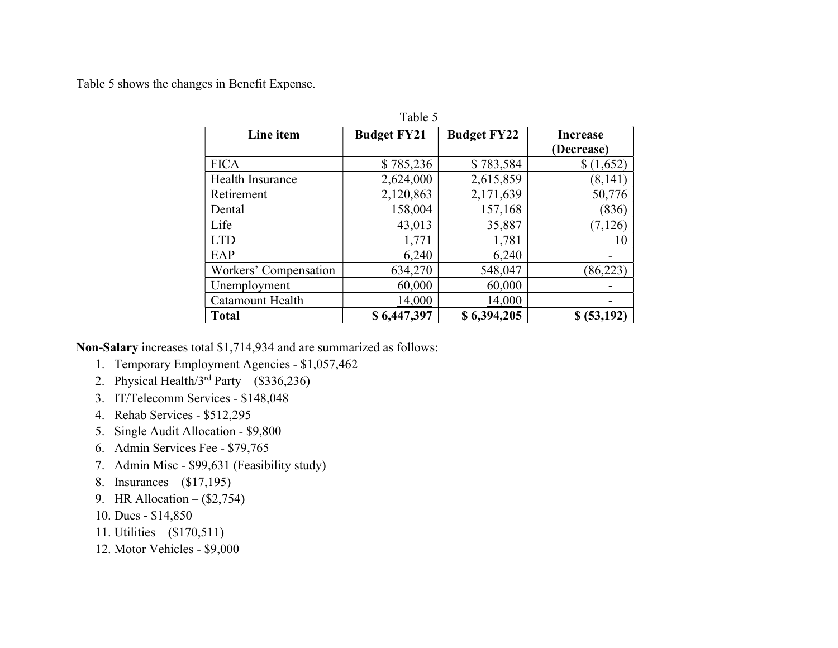Table 5 shows the changes in Benefit Expense.

| Line item             | <b>Budget FY21</b> | <b>Budget FY22</b> | <b>Increase</b> |
|-----------------------|--------------------|--------------------|-----------------|
|                       |                    |                    | (Decrease)      |
| <b>FICA</b>           | \$785,236          | \$783,584          | \$(1,652)       |
| Health Insurance      | 2,624,000          | 2,615,859          | (8,141)         |
| Retirement            | 2,120,863          | 2,171,639          | 50,776          |
| Dental                | 158,004            | 157,168            | (836)           |
| Life                  | 43,013             | 35,887             | (7,126)         |
| <b>LTD</b>            | 1,771              | 1,781              | 10              |
| EAP                   | 6,240              | 6,240              |                 |
| Workers' Compensation | 634,270            | 548,047            | (86, 223)       |
| Unemployment          | 60,000             | 60,000             |                 |
| Catamount Health      | 14,000             | 14,000             |                 |
| <b>Total</b>          | \$6,447,397        | \$6,394,205        | \$ (53,192)     |

Table 5

Non-Salary increases total \$1,714,934 and are summarized as follows:

- 1. Temporary Employment Agencies \$1,057,462
- 2. Physical Health/ $3^{rd}$  Party (\$336,236)
- 3. IT/Telecomm Services \$148,048
- 4. Rehab Services \$512,295
- 5. Single Audit Allocation \$9,800
- 6. Admin Services Fee \$79,765
- 7. Admin Misc \$99,631 (Feasibility study)
- 8. Insurances (\$17,195)
- 9. HR Allocation (\$2,754)
- 10. Dues \$14,850
- 11. Utilities (\$170,511)
- 12. Motor Vehicles \$9,000